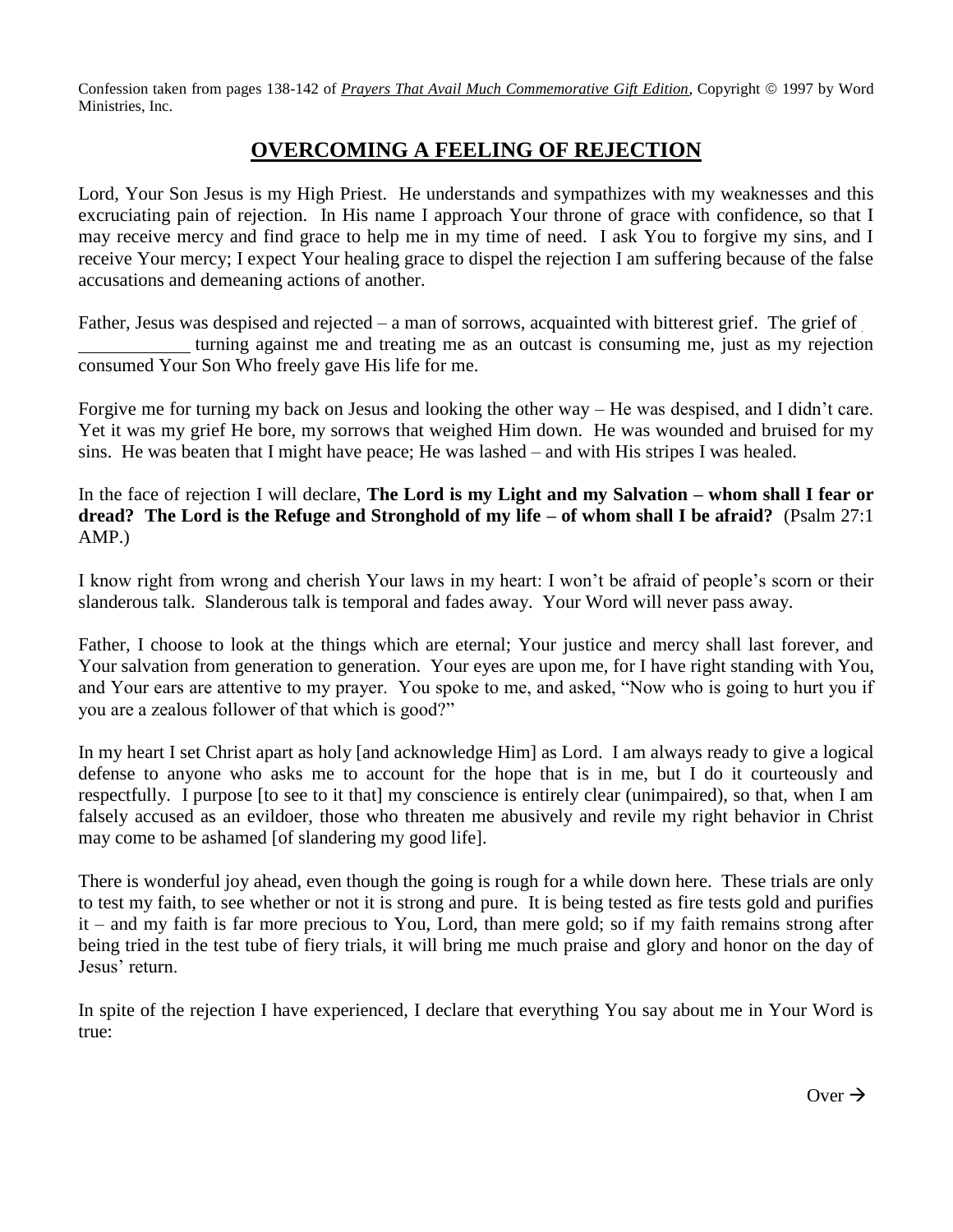Confession taken from pages 138-142 of *Prayers That Avail Much Commemorative Gift Edition*, Copyright 1997 by Word Ministries, Inc.

## **OVERCOMING A FEELING OF REJECTION**

Lord, Your Son Jesus is my High Priest. He understands and sympathizes with my weaknesses and this excruciating pain of rejection. In His name I approach Your throne of grace with confidence, so that I may receive mercy and find grace to help me in my time of need. I ask You to forgive my sins, and I receive Your mercy; I expect Your healing grace to dispel the rejection I am suffering because of the false accusations and demeaning actions of another.

Father, Jesus was despised and rejected – a man of sorrows, acquainted with bitterest grief. The grief of turning against me and treating me as an outcast is consuming me, just as my rejection consumed Your Son Who freely gave His life for me.

Forgive me for turning my back on Jesus and looking the other way – He was despised, and I didn't care. Yet it was my grief He bore, my sorrows that weighed Him down. He was wounded and bruised for my sins. He was beaten that I might have peace; He was lashed – and with His stripes I was healed.

In the face of rejection I will declare, **The Lord is my Light and my Salvation – whom shall I fear or dread? The Lord is the Refuge and Stronghold of my life – of whom shall I be afraid?** (Psalm 27:1 AMP.)

I know right from wrong and cherish Your laws in my heart: I won't be afraid of people's scorn or their slanderous talk. Slanderous talk is temporal and fades away. Your Word will never pass away.

Father, I choose to look at the things which are eternal; Your justice and mercy shall last forever, and Your salvation from generation to generation. Your eyes are upon me, for I have right standing with You, and Your ears are attentive to my prayer. You spoke to me, and asked, "Now who is going to hurt you if you are a zealous follower of that which is good?"

In my heart I set Christ apart as holy [and acknowledge Him] as Lord. I am always ready to give a logical defense to anyone who asks me to account for the hope that is in me, but I do it courteously and respectfully. I purpose [to see to it that] my conscience is entirely clear (unimpaired), so that, when I am falsely accused as an evildoer, those who threaten me abusively and revile my right behavior in Christ may come to be ashamed [of slandering my good life].

There is wonderful joy ahead, even though the going is rough for a while down here. These trials are only to test my faith, to see whether or not it is strong and pure. It is being tested as fire tests gold and purifies it – and my faith is far more precious to You, Lord, than mere gold; so if my faith remains strong after being tried in the test tube of fiery trials, it will bring me much praise and glory and honor on the day of Jesus' return.

In spite of the rejection I have experienced, I declare that everything You say about me in Your Word is true: